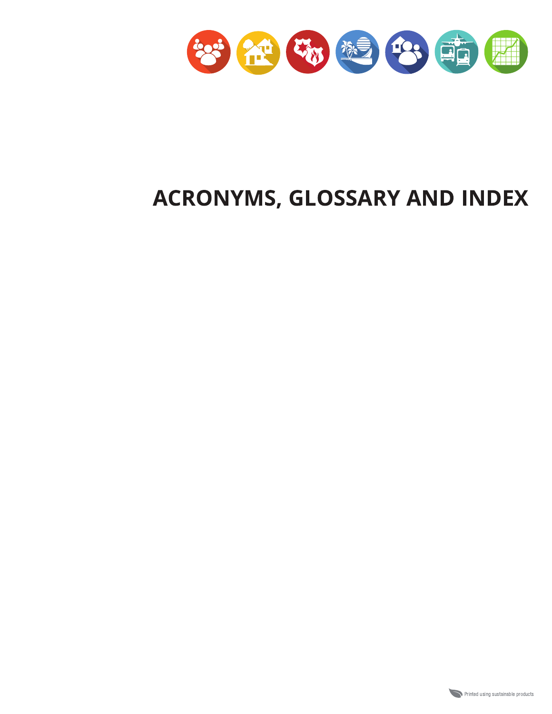

# ACRONYMS, GLOSSARY AND INDEX

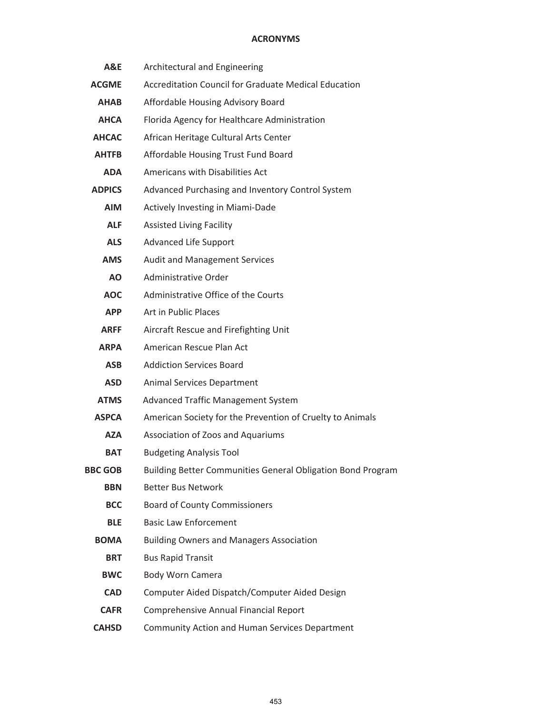| A&E            | Architectural and Engineering                               |
|----------------|-------------------------------------------------------------|
| <b>ACGME</b>   | <b>Accreditation Council for Graduate Medical Education</b> |
| AHAB           | Affordable Housing Advisory Board                           |
| <b>AHCA</b>    | Florida Agency for Healthcare Administration                |
| <b>AHCAC</b>   | African Heritage Cultural Arts Center                       |
| <b>AHTFB</b>   | Affordable Housing Trust Fund Board                         |
| ADA            | Americans with Disabilities Act                             |
| <b>ADPICS</b>  | Advanced Purchasing and Inventory Control System            |
| <b>AIM</b>     | Actively Investing in Miami-Dade                            |
| <b>ALF</b>     | <b>Assisted Living Facility</b>                             |
| <b>ALS</b>     | Advanced Life Support                                       |
| <b>AMS</b>     | <b>Audit and Management Services</b>                        |
| <b>AO</b>      | Administrative Order                                        |
| <b>AOC</b>     | Administrative Office of the Courts                         |
| <b>APP</b>     | Art in Public Places                                        |
| <b>ARFF</b>    | Aircraft Rescue and Firefighting Unit                       |
| <b>ARPA</b>    | American Rescue Plan Act                                    |
| <b>ASB</b>     | <b>Addiction Services Board</b>                             |
| <b>ASD</b>     | Animal Services Department                                  |
| <b>ATMS</b>    | Advanced Traffic Management System                          |
| <b>ASPCA</b>   | American Society for the Prevention of Cruelty to Animals   |
| AZA            | Association of Zoos and Aquariums                           |
| <b>BAT</b>     | <b>Budgeting Analysis Tool</b>                              |
| <b>BBC GOB</b> | Building Better Communities General Obligation Bond Program |
| <b>BBN</b>     | <b>Better Bus Network</b>                                   |
| <b>BCC</b>     | <b>Board of County Commissioners</b>                        |
| <b>BLE</b>     | <b>Basic Law Enforcement</b>                                |
| <b>BOMA</b>    | <b>Building Owners and Managers Association</b>             |
| <b>BRT</b>     | <b>Bus Rapid Transit</b>                                    |
| <b>BWC</b>     | Body Worn Camera                                            |
| <b>CAD</b>     | Computer Aided Dispatch/Computer Aided Design               |
| <b>CAFR</b>    | Comprehensive Annual Financial Report                       |
| <b>CAHSD</b>   | Community Action and Human Services Department              |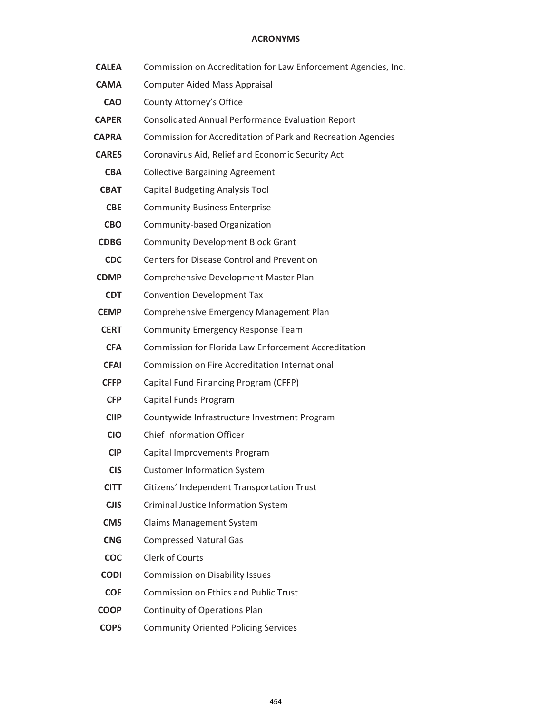- **CALEA** Commission on Accreditation for Law Enforcement Agencies, Inc.
- **CAMA** Computer Aided Mass Appraisal
- **CAO** County Attorney's Office
- **CAPER** Consolidated Annual Performance Evaluation Report
- **CAPRA** Commission for Accreditation of Park and Recreation Agencies
- **CARES** Coronavirus Aid, Relief and Economic Security Act
- **CBA** Collective Bargaining Agreement
- **CBAT** Capital Budgeting Analysis Tool
- **CBE** Community Business Enterprise
- **CBO** Community-based Organization
- **CDBG** Community Development Block Grant
- **CDC** Centers for Disease Control and Prevention
- **CDMP** Comprehensive Development Master Plan
- **CDT** Convention Development Tax
- **CEMP** Comprehensive Emergency Management Plan
- **CERT** Community Emergency Response Team
- **CFA** Commission for Florida Law Enforcement Accreditation
- **CFAI** Commission on Fire Accreditation International
- **CFFP** Capital Fund Financing Program (CFFP)
- **CFP** Capital Funds Program
- **CIIP** Countywide Infrastructure Investment Program
- **CIO** Chief Information Officer
- **CIP** Capital Improvements Program
- **CIS** Customer Information System
- **CITT** Citizens' Independent Transportation Trust
- **CJIS** Criminal Justice Information System
- **CMS** Claims Management System
- **CNG** Compressed Natural Gas
- **COC** Clerk of Courts
- **CODI** Commission on Disability Issues
- **COE** Commission on Ethics and Public Trust
- **COOP** Continuity of Operations Plan
- **COPS** Community Oriented Policing Services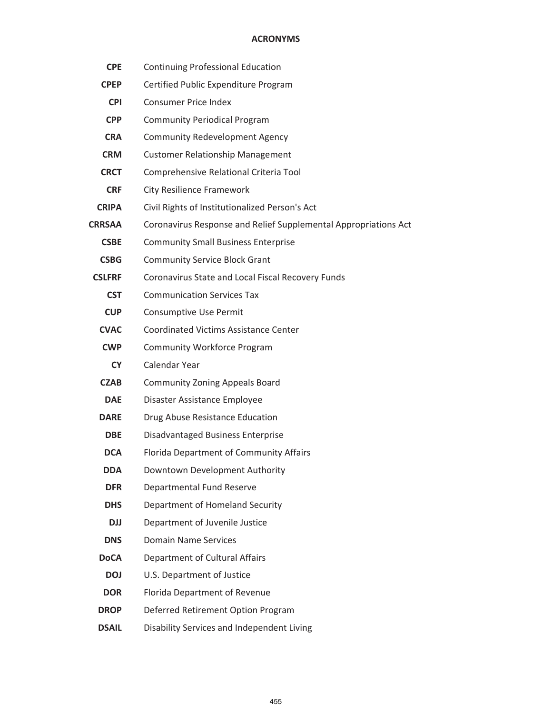| <b>CPE</b>    | <b>Continuing Professional Education</b>                        |
|---------------|-----------------------------------------------------------------|
| <b>CPEP</b>   | Certified Public Expenditure Program                            |
| <b>CPI</b>    | <b>Consumer Price Index</b>                                     |
| <b>CPP</b>    | <b>Community Periodical Program</b>                             |
| <b>CRA</b>    | <b>Community Redevelopment Agency</b>                           |
| <b>CRM</b>    | <b>Customer Relationship Management</b>                         |
| <b>CRCT</b>   | Comprehensive Relational Criteria Tool                          |
| <b>CRF</b>    | <b>City Resilience Framework</b>                                |
| <b>CRIPA</b>  | Civil Rights of Institutionalized Person's Act                  |
| <b>CRRSAA</b> | Coronavirus Response and Relief Supplemental Appropriations Act |
| <b>CSBE</b>   | <b>Community Small Business Enterprise</b>                      |
| <b>CSBG</b>   | <b>Community Service Block Grant</b>                            |
| <b>CSLFRF</b> | Coronavirus State and Local Fiscal Recovery Funds               |
| <b>CST</b>    | <b>Communication Services Tax</b>                               |
| <b>CUP</b>    | Consumptive Use Permit                                          |
| <b>CVAC</b>   | <b>Coordinated Victims Assistance Center</b>                    |
| <b>CWP</b>    | <b>Community Workforce Program</b>                              |
| <b>CY</b>     | Calendar Year                                                   |
| CZAB          | <b>Community Zoning Appeals Board</b>                           |
| <b>DAE</b>    | Disaster Assistance Employee                                    |
| <b>DARE</b>   | Drug Abuse Resistance Education                                 |
| <b>DBE</b>    | <b>Disadvantaged Business Enterprise</b>                        |
| <b>DCA</b>    | Florida Department of Community Affairs                         |
| <b>DDA</b>    | Downtown Development Authority                                  |
| <b>DFR</b>    | Departmental Fund Reserve                                       |
| <b>DHS</b>    | Department of Homeland Security                                 |
| <b>DJJ</b>    | Department of Juvenile Justice                                  |
| <b>DNS</b>    | <b>Domain Name Services</b>                                     |
| <b>DoCA</b>   | Department of Cultural Affairs                                  |
| <b>DOJ</b>    | U.S. Department of Justice                                      |
| <b>DOR</b>    | Florida Department of Revenue                                   |
| <b>DROP</b>   | Deferred Retirement Option Program                              |
| <b>DSAIL</b>  | Disability Services and Independent Living                      |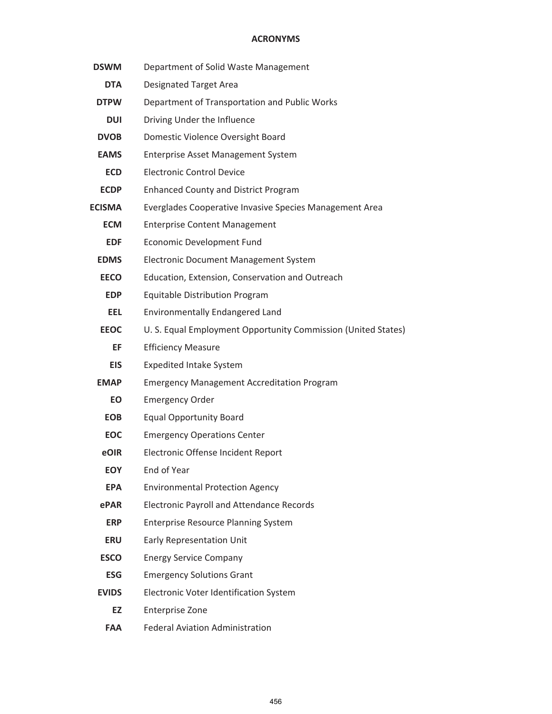| <b>DSWM</b>   | Department of Solid Waste Management                          |
|---------------|---------------------------------------------------------------|
| <b>DTA</b>    | <b>Designated Target Area</b>                                 |
| <b>DTPW</b>   | Department of Transportation and Public Works                 |
| <b>DUI</b>    | Driving Under the Influence                                   |
| <b>DVOB</b>   | Domestic Violence Oversight Board                             |
| <b>EAMS</b>   | <b>Enterprise Asset Management System</b>                     |
| <b>ECD</b>    | <b>Electronic Control Device</b>                              |
| <b>ECDP</b>   | <b>Enhanced County and District Program</b>                   |
| <b>ECISMA</b> | Everglades Cooperative Invasive Species Management Area       |
| <b>ECM</b>    | <b>Enterprise Content Management</b>                          |
| <b>EDF</b>    | Economic Development Fund                                     |
| <b>EDMS</b>   | <b>Electronic Document Management System</b>                  |
| <b>EECO</b>   | Education, Extension, Conservation and Outreach               |
| <b>EDP</b>    | <b>Equitable Distribution Program</b>                         |
| <b>EEL</b>    | <b>Environmentally Endangered Land</b>                        |
| <b>EEOC</b>   | U. S. Equal Employment Opportunity Commission (United States) |
| EF            | <b>Efficiency Measure</b>                                     |
| <b>EIS</b>    | <b>Expedited Intake System</b>                                |
| <b>EMAP</b>   | <b>Emergency Management Accreditation Program</b>             |
| EO            | <b>Emergency Order</b>                                        |
| <b>EOB</b>    | <b>Equal Opportunity Board</b>                                |
| <b>EOC</b>    | <b>Emergency Operations Center</b>                            |
| eOIR          | Electronic Offense Incident Report                            |
| <b>EOY</b>    | End of Year                                                   |
| <b>EPA</b>    | <b>Environmental Protection Agency</b>                        |
| ePAR          | <b>Electronic Payroll and Attendance Records</b>              |
| <b>ERP</b>    | <b>Enterprise Resource Planning System</b>                    |
| <b>ERU</b>    | <b>Early Representation Unit</b>                              |
| <b>ESCO</b>   | <b>Energy Service Company</b>                                 |
| <b>ESG</b>    | <b>Emergency Solutions Grant</b>                              |
| <b>EVIDS</b>  | Electronic Voter Identification System                        |
| EZ            | <b>Enterprise Zone</b>                                        |
|               |                                                               |

**FAA** Federal Aviation Administration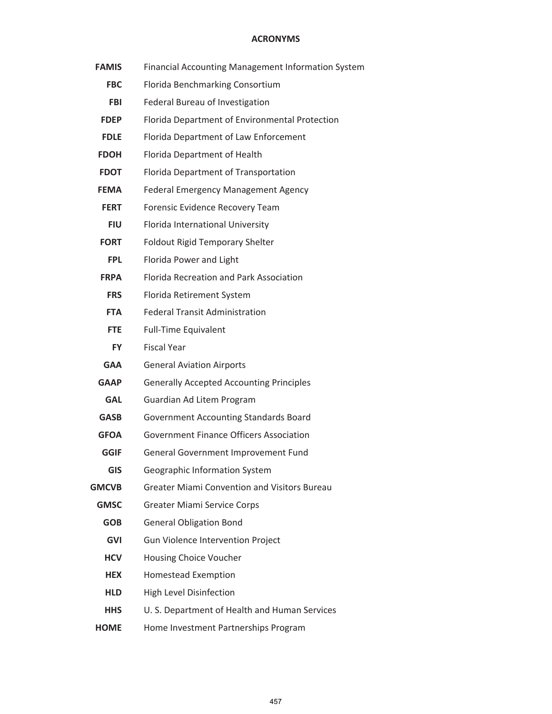| <b>FAMIS</b> | Financial Accounting Management Information System  |
|--------------|-----------------------------------------------------|
| <b>FBC</b>   | Florida Benchmarking Consortium                     |
| <b>FBI</b>   | Federal Bureau of Investigation                     |
| <b>FDEP</b>  | Florida Department of Environmental Protection      |
| <b>FDLE</b>  | Florida Department of Law Enforcement               |
| <b>FDOH</b>  | Florida Department of Health                        |
| <b>FDOT</b>  | Florida Department of Transportation                |
| <b>FEMA</b>  | <b>Federal Emergency Management Agency</b>          |
| <b>FERT</b>  | Forensic Evidence Recovery Team                     |
| <b>FIU</b>   | Florida International University                    |
| <b>FORT</b>  | Foldout Rigid Temporary Shelter                     |
| <b>FPL</b>   | Florida Power and Light                             |
| <b>FRPA</b>  | Florida Recreation and Park Association             |
| <b>FRS</b>   | Florida Retirement System                           |
| <b>FTA</b>   | <b>Federal Transit Administration</b>               |
| <b>FTE</b>   | <b>Full-Time Equivalent</b>                         |
| <b>FY</b>    | <b>Fiscal Year</b>                                  |
| <b>GAA</b>   | <b>General Aviation Airports</b>                    |
| <b>GAAP</b>  | <b>Generally Accepted Accounting Principles</b>     |
| <b>GAL</b>   | Guardian Ad Litem Program                           |
| <b>GASB</b>  | <b>Government Accounting Standards Board</b>        |
| <b>GFOA</b>  | <b>Government Finance Officers Association</b>      |
| <b>GGIF</b>  | General Government Improvement Fund                 |
| <b>GIS</b>   | Geographic Information System                       |
| <b>GMCVB</b> | <b>Greater Miami Convention and Visitors Bureau</b> |
| <b>GMSC</b>  | <b>Greater Miami Service Corps</b>                  |
| <b>GOB</b>   | <b>General Obligation Bond</b>                      |
| <b>GVI</b>   | Gun Violence Intervention Project                   |
| <b>HCV</b>   | Housing Choice Voucher                              |
| <b>HEX</b>   | <b>Homestead Exemption</b>                          |
| <b>HLD</b>   | High Level Disinfection                             |
| <b>HHS</b>   | U. S. Department of Health and Human Services       |
| <b>HOME</b>  | Home Investment Partnerships Program                |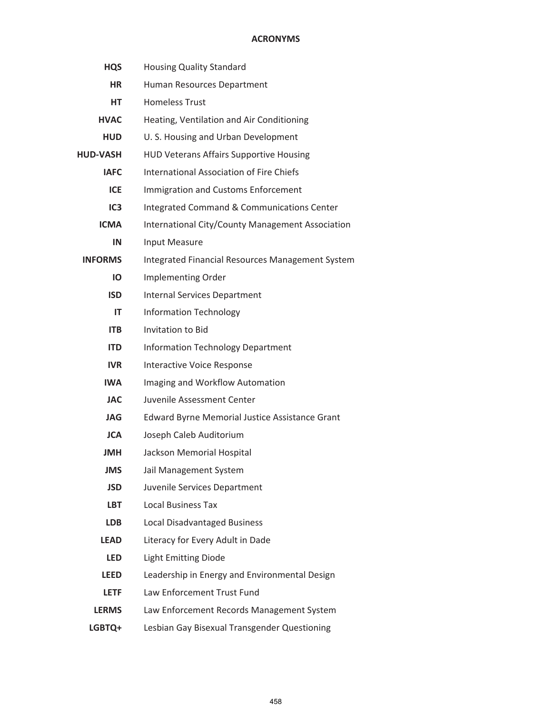| <b>HQS</b>      | <b>Housing Quality Standard</b>                       |
|-----------------|-------------------------------------------------------|
| <b>HR</b>       | Human Resources Department                            |
| <b>HT</b>       | <b>Homeless Trust</b>                                 |
| <b>HVAC</b>     | Heating, Ventilation and Air Conditioning             |
| <b>HUD</b>      | U. S. Housing and Urban Development                   |
| <b>HUD-VASH</b> | <b>HUD Veterans Affairs Supportive Housing</b>        |
| <b>IAFC</b>     | <b>International Association of Fire Chiefs</b>       |
| <b>ICE</b>      | <b>Immigration and Customs Enforcement</b>            |
| IC <sub>3</sub> | Integrated Command & Communications Center            |
| <b>ICMA</b>     | International City/County Management Association      |
| IN              | <b>Input Measure</b>                                  |
| <b>INFORMS</b>  | Integrated Financial Resources Management System      |
| IO              | Implementing Order                                    |
| <b>ISD</b>      | <b>Internal Services Department</b>                   |
| IT              | <b>Information Technology</b>                         |
| <b>ITB</b>      | <b>Invitation to Bid</b>                              |
| <b>ITD</b>      | <b>Information Technology Department</b>              |
| <b>IVR</b>      | <b>Interactive Voice Response</b>                     |
| IWA.            | Imaging and Workflow Automation                       |
| <b>JAC</b>      | Juvenile Assessment Center                            |
| <b>JAG</b>      | <b>Edward Byrne Memorial Justice Assistance Grant</b> |
| <b>JCA</b>      | Joseph Caleb Auditorium                               |
| <b>JMH</b>      | Jackson Memorial Hospital                             |
| <b>JMS</b>      | Jail Management System                                |
| <b>JSD</b>      | Juvenile Services Department                          |
| <b>LBT</b>      | <b>Local Business Tax</b>                             |
| <b>LDB</b>      | Local Disadvantaged Business                          |
| <b>LEAD</b>     | Literacy for Every Adult in Dade                      |
| <b>LED</b>      | <b>Light Emitting Diode</b>                           |
| <b>LEED</b>     | Leadership in Energy and Environmental Design         |
| <b>LETF</b>     | Law Enforcement Trust Fund                            |
| <b>LERMS</b>    | Law Enforcement Records Management System             |
| LGBTQ+          | Lesbian Gay Bisexual Transgender Questioning          |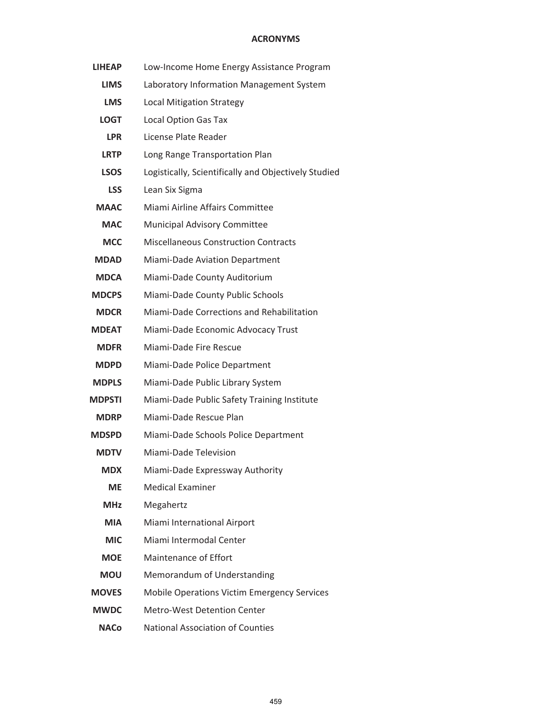| <b>LIHEAP</b> | Low-Income Home Energy Assistance Program            |
|---------------|------------------------------------------------------|
| <b>LIMS</b>   | Laboratory Information Management System             |
| <b>LMS</b>    | <b>Local Mitigation Strategy</b>                     |
| <b>LOGT</b>   | <b>Local Option Gas Tax</b>                          |
| <b>LPR</b>    | License Plate Reader                                 |
| <b>LRTP</b>   | Long Range Transportation Plan                       |
| <b>LSOS</b>   | Logistically, Scientifically and Objectively Studied |
| <b>LSS</b>    | Lean Six Sigma                                       |
| <b>MAAC</b>   | Miami Airline Affairs Committee                      |
| <b>MAC</b>    | Municipal Advisory Committee                         |
| <b>MCC</b>    | <b>Miscellaneous Construction Contracts</b>          |
| <b>MDAD</b>   | Miami-Dade Aviation Department                       |
| <b>MDCA</b>   | Miami-Dade County Auditorium                         |
| <b>MDCPS</b>  | Miami-Dade County Public Schools                     |
| <b>MDCR</b>   | Miami-Dade Corrections and Rehabilitation            |
| <b>MDEAT</b>  | Miami-Dade Economic Advocacy Trust                   |
| <b>MDFR</b>   | Miami-Dade Fire Rescue                               |
| <b>MDPD</b>   | Miami-Dade Police Department                         |
| <b>MDPLS</b>  | Miami-Dade Public Library System                     |
| <b>MDPSTI</b> | Miami-Dade Public Safety Training Institute          |
| <b>MDRP</b>   | Miami-Dade Rescue Plan                               |
| <b>MDSPD</b>  | Miami-Dade Schools Police Department                 |
| <b>MDTV</b>   | Miami-Dade Television                                |
| <b>MDX</b>    | Miami-Dade Expressway Authority                      |
| <b>ME</b>     | <b>Medical Examiner</b>                              |
| <b>MHz</b>    | Megahertz                                            |
| <b>MIA</b>    | Miami International Airport                          |
| <b>MIC</b>    | Miami Intermodal Center                              |
| <b>MOE</b>    | <b>Maintenance of Effort</b>                         |
| <b>MOU</b>    | Memorandum of Understanding                          |
| <b>MOVES</b>  | <b>Mobile Operations Victim Emergency Services</b>   |
| <b>MWDC</b>   | <b>Metro-West Detention Center</b>                   |
| <b>NACo</b>   | <b>National Association of Counties</b>              |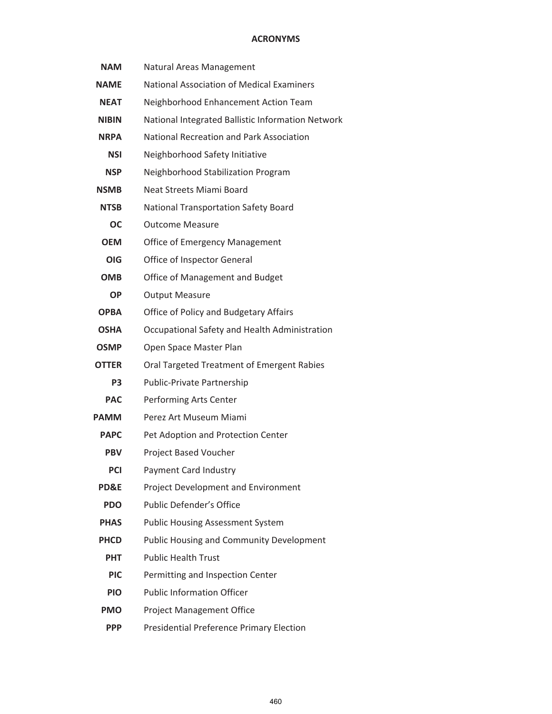| <b>NAM</b>     | Natural Areas Management                          |
|----------------|---------------------------------------------------|
| <b>NAME</b>    | <b>National Association of Medical Examiners</b>  |
| <b>NEAT</b>    | Neighborhood Enhancement Action Team              |
| <b>NIBIN</b>   | National Integrated Ballistic Information Network |
| <b>NRPA</b>    | National Recreation and Park Association          |
| <b>NSI</b>     | Neighborhood Safety Initiative                    |
| <b>NSP</b>     | Neighborhood Stabilization Program                |
| <b>NSMB</b>    | Neat Streets Miami Board                          |
| <b>NTSB</b>    | <b>National Transportation Safety Board</b>       |
| <b>OC</b>      | <b>Outcome Measure</b>                            |
| <b>OEM</b>     | <b>Office of Emergency Management</b>             |
| <b>OIG</b>     | Office of Inspector General                       |
| <b>OMB</b>     | Office of Management and Budget                   |
| ΟP             | <b>Output Measure</b>                             |
| <b>OPBA</b>    | Office of Policy and Budgetary Affairs            |
| <b>OSHA</b>    | Occupational Safety and Health Administration     |
| <b>OSMP</b>    | Open Space Master Plan                            |
| <b>OTTER</b>   | Oral Targeted Treatment of Emergent Rabies        |
| P <sub>3</sub> | Public-Private Partnership                        |
| <b>PAC</b>     | Performing Arts Center                            |
| <b>PAMM</b>    | Perez Art Museum Miami                            |
| <b>PAPC</b>    | Pet Adoption and Protection Center                |
| <b>PBV</b>     | Project Based Voucher                             |
| <b>PCI</b>     | Payment Card Industry                             |
| PD&E           | Project Development and Environment               |
| <b>PDO</b>     | <b>Public Defender's Office</b>                   |
| <b>PHAS</b>    | <b>Public Housing Assessment System</b>           |
| <b>PHCD</b>    | <b>Public Housing and Community Development</b>   |
| <b>PHT</b>     | <b>Public Health Trust</b>                        |
| <b>PIC</b>     | Permitting and Inspection Center                  |
| <b>PIO</b>     | <b>Public Information Officer</b>                 |
| <b>PMO</b>     | <b>Project Management Office</b>                  |
| <b>PPP</b>     | Presidential Preference Primary Election          |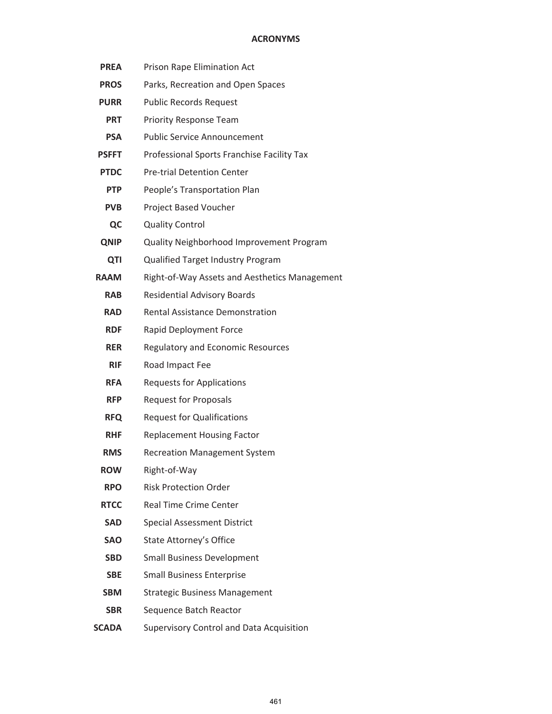| <b>PREA</b>  | Prison Rape Elimination Act                   |
|--------------|-----------------------------------------------|
| <b>PROS</b>  | Parks, Recreation and Open Spaces             |
| <b>PURR</b>  | <b>Public Records Request</b>                 |
| <b>PRT</b>   | Priority Response Team                        |
| <b>PSA</b>   | <b>Public Service Announcement</b>            |
| <b>PSFFT</b> | Professional Sports Franchise Facility Tax    |
| <b>PTDC</b>  | <b>Pre-trial Detention Center</b>             |
| <b>PTP</b>   | People's Transportation Plan                  |
| <b>PVB</b>   | Project Based Voucher                         |
| QC           | <b>Quality Control</b>                        |
| <b>QNIP</b>  | Quality Neighborhood Improvement Program      |
| QTI          | Qualified Target Industry Program             |
| <b>RAAM</b>  | Right-of-Way Assets and Aesthetics Management |
| <b>RAB</b>   | <b>Residential Advisory Boards</b>            |
| <b>RAD</b>   | <b>Rental Assistance Demonstration</b>        |
| <b>RDF</b>   | Rapid Deployment Force                        |
| <b>RER</b>   | Regulatory and Economic Resources             |
| <b>RIF</b>   | Road Impact Fee                               |
| <b>RFA</b>   | <b>Requests for Applications</b>              |
| <b>RFP</b>   | <b>Request for Proposals</b>                  |
| <b>RFQ</b>   | <b>Request for Qualifications</b>             |
| <b>RHF</b>   | <b>Replacement Housing Factor</b>             |
| <b>RMS</b>   | <b>Recreation Management System</b>           |
| <b>ROW</b>   | Right-of-Way                                  |
| <b>RPO</b>   | <b>Risk Protection Order</b>                  |
| <b>RTCC</b>  | <b>Real Time Crime Center</b>                 |
| <b>SAD</b>   | <b>Special Assessment District</b>            |
| <b>SAO</b>   | <b>State Attorney's Office</b>                |
| <b>SBD</b>   | <b>Small Business Development</b>             |
| <b>SBE</b>   | <b>Small Business Enterprise</b>              |
| <b>SBM</b>   | <b>Strategic Business Management</b>          |
| <b>SBR</b>   | Sequence Batch Reactor                        |
| <b>SCADA</b> | Supervisory Control and Data Acquisition      |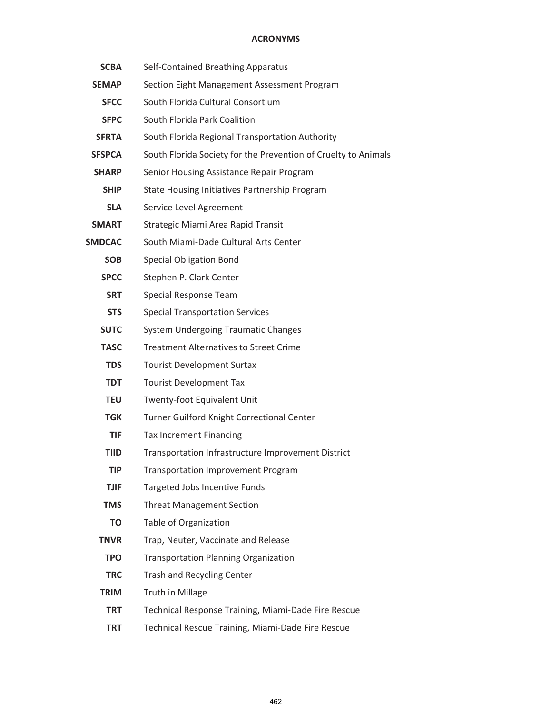| <b>SCBA</b>   | Self-Contained Breathing Apparatus                             |
|---------------|----------------------------------------------------------------|
| <b>SEMAP</b>  | Section Eight Management Assessment Program                    |
| <b>SFCC</b>   | South Florida Cultural Consortium                              |
| <b>SFPC</b>   | South Florida Park Coalition                                   |
| <b>SFRTA</b>  | South Florida Regional Transportation Authority                |
| <b>SFSPCA</b> | South Florida Society for the Prevention of Cruelty to Animals |
| <b>SHARP</b>  | Senior Housing Assistance Repair Program                       |
| <b>SHIP</b>   | State Housing Initiatives Partnership Program                  |
| <b>SLA</b>    | Service Level Agreement                                        |
| <b>SMART</b>  | Strategic Miami Area Rapid Transit                             |
| <b>SMDCAC</b> | South Miami-Dade Cultural Arts Center                          |
| <b>SOB</b>    | <b>Special Obligation Bond</b>                                 |
| <b>SPCC</b>   | Stephen P. Clark Center                                        |
| <b>SRT</b>    | Special Response Team                                          |
| <b>STS</b>    | <b>Special Transportation Services</b>                         |
| <b>SUTC</b>   | <b>System Undergoing Traumatic Changes</b>                     |
| <b>TASC</b>   | <b>Treatment Alternatives to Street Crime</b>                  |
| <b>TDS</b>    | <b>Tourist Development Surtax</b>                              |
| <b>TDT</b>    | <b>Tourist Development Tax</b>                                 |
| <b>TEU</b>    | Twenty-foot Equivalent Unit                                    |
| <b>TGK</b>    | Turner Guilford Knight Correctional Center                     |
| <b>TIF</b>    | <b>Tax Increment Financing</b>                                 |
| <b>TIID</b>   | Transportation Infrastructure Improvement District             |
| <b>TIP</b>    | <b>Transportation Improvement Program</b>                      |
| <b>TJIF</b>   | Targeted Jobs Incentive Funds                                  |
| <b>TMS</b>    | <b>Threat Management Section</b>                               |
| TO.           | Table of Organization                                          |
| <b>TNVR</b>   | Trap, Neuter, Vaccinate and Release                            |
| <b>TPO</b>    | <b>Transportation Planning Organization</b>                    |
| <b>TRC</b>    | <b>Trash and Recycling Center</b>                              |
| <b>TRIM</b>   | Truth in Millage                                               |
| <b>TRT</b>    | Technical Response Training, Miami-Dade Fire Rescue            |
| <b>TRT</b>    | Technical Rescue Training, Miami-Dade Fire Rescue              |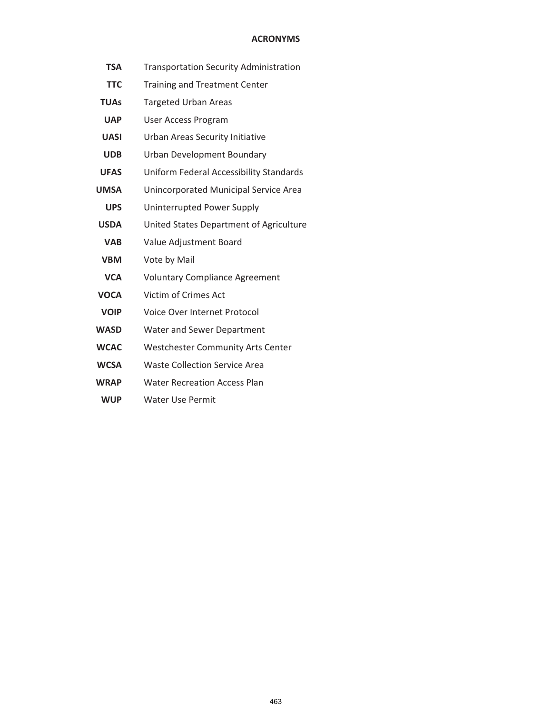- **TSA** Transportation Security Administration
- **TTC** Training and Treatment Center
- **TUAs** Targeted Urban Areas
- **UAP** User Access Program
- **UASI** Urban Areas Security Initiative
- **UDB** Urban Development Boundary
- **UFAS** Uniform Federal Accessibility Standards
- **UMSA** Unincorporated Municipal Service Area
- **UPS** Uninterrupted Power Supply
- **USDA** United States Department of Agriculture
- **VAB** Value Adjustment Board
- **VBM** Vote by Mail
- **VCA** Voluntary Compliance Agreement
- **VOCA** Victim of Crimes Act
- **VOIP** Voice Over Internet Protocol
- **WASD** Water and Sewer Department
- **WCAC** Westchester Community Arts Center
- **WCSA** Waste Collection Service Area
- **WRAP** Water Recreation Access Plan
- **WUP** Water Use Permit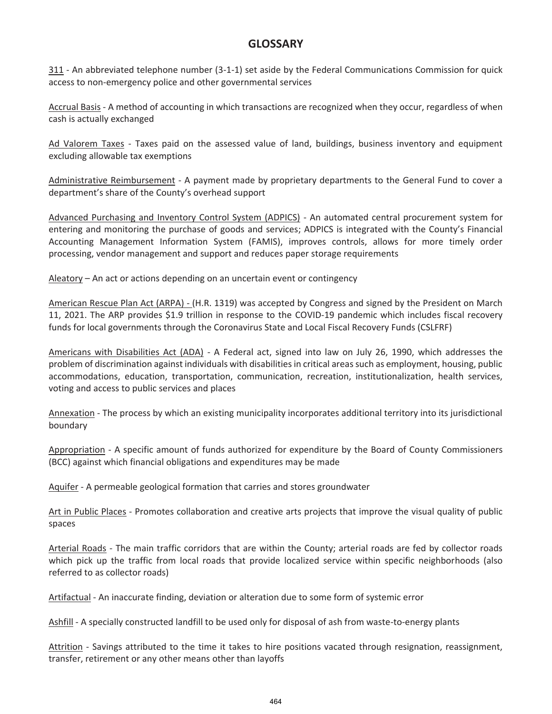311 - An abbreviated telephone number (3-1-1) set aside by the Federal Communications Commission for quick access to non-emergency police and other governmental services

Accrual Basis - A method of accounting in which transactions are recognized when they occur, regardless of when cash is actually exchanged

Ad Valorem Taxes - Taxes paid on the assessed value of land, buildings, business inventory and equipment excluding allowable tax exemptions

Administrative Reimbursement - A payment made by proprietary departments to the General Fund to cover a department's share of the County's overhead support

Advanced Purchasing and Inventory Control System (ADPICS) - An automated central procurement system for entering and monitoring the purchase of goods and services; ADPICS is integrated with the County's Financial Accounting Management Information System (FAMIS), improves controls, allows for more timely order processing, vendor management and support and reduces paper storage requirements

Aleatory – An act or actions depending on an uncertain event or contingency

American Rescue Plan Act (ARPA) - (H.R. 1319) was accepted by Congress and signed by the President on March 11, 2021. The ARP provides \$1.9 trillion in response to the COVID-19 pandemic which includes fiscal recovery funds for local governments through the Coronavirus State and Local Fiscal Recovery Funds (CSLFRF)

Americans with Disabilities Act (ADA) - A Federal act, signed into law on July 26, 1990, which addresses the problem of discrimination against individuals with disabilities in critical areas such as employment, housing, public accommodations, education, transportation, communication, recreation, institutionalization, health services, voting and access to public services and places

Annexation - The process by which an existing municipality incorporates additional territory into its jurisdictional boundary

Appropriation - A specific amount of funds authorized for expenditure by the Board of County Commissioners (BCC) against which financial obligations and expenditures may be made

Aquifer - A permeable geological formation that carries and stores groundwater

Art in Public Places - Promotes collaboration and creative arts projects that improve the visual quality of public spaces

Arterial Roads - The main traffic corridors that are within the County; arterial roads are fed by collector roads which pick up the traffic from local roads that provide localized service within specific neighborhoods (also referred to as collector roads)

Artifactual - An inaccurate finding, deviation or alteration due to some form of systemic error

Ashfill - A specially constructed landfill to be used only for disposal of ash from waste-to-energy plants

Attrition - Savings attributed to the time it takes to hire positions vacated through resignation, reassignment, transfer, retirement or any other means other than layoffs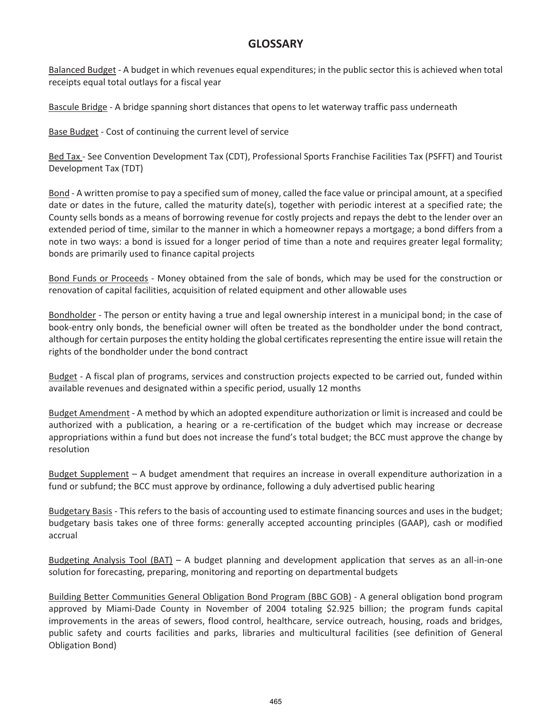Balanced Budget - A budget in which revenues equal expenditures; in the public sector this is achieved when total receipts equal total outlays for a fiscal year

Bascule Bridge - A bridge spanning short distances that opens to let waterway traffic pass underneath

Base Budget - Cost of continuing the current level of service

Bed Tax - See Convention Development Tax (CDT), Professional Sports Franchise Facilities Tax (PSFFT) and Tourist Development Tax (TDT)

Bond - A written promise to pay a specified sum of money, called the face value or principal amount, at a specified date or dates in the future, called the maturity date(s), together with periodic interest at a specified rate; the County sells bonds as a means of borrowing revenue for costly projects and repays the debt to the lender over an extended period of time, similar to the manner in which a homeowner repays a mortgage; a bond differs from a note in two ways: a bond is issued for a longer period of time than a note and requires greater legal formality; bonds are primarily used to finance capital projects

Bond Funds or Proceeds - Money obtained from the sale of bonds, which may be used for the construction or renovation of capital facilities, acquisition of related equipment and other allowable uses

Bondholder - The person or entity having a true and legal ownership interest in a municipal bond; in the case of book-entry only bonds, the beneficial owner will often be treated as the bondholder under the bond contract, although for certain purposes the entity holding the global certificates representing the entire issue will retain the rights of the bondholder under the bond contract

Budget - A fiscal plan of programs, services and construction projects expected to be carried out, funded within available revenues and designated within a specific period, usually 12 months

Budget Amendment - A method by which an adopted expenditure authorization or limit is increased and could be authorized with a publication, a hearing or a re-certification of the budget which may increase or decrease appropriations within a fund but does not increase the fund's total budget; the BCC must approve the change by resolution

Budget Supplement – A budget amendment that requires an increase in overall expenditure authorization in a fund or subfund; the BCC must approve by ordinance, following a duly advertised public hearing

Budgetary Basis - This refers to the basis of accounting used to estimate financing sources and uses in the budget; budgetary basis takes one of three forms: generally accepted accounting principles (GAAP), cash or modified accrual

Budgeting Analysis Tool (BAT) – A budget planning and development application that serves as an all-in-one solution for forecasting, preparing, monitoring and reporting on departmental budgets

Building Better Communities General Obligation Bond Program (BBC GOB) - A general obligation bond program approved by Miami-Dade County in November of 2004 totaling \$2.925 billion; the program funds capital improvements in the areas of sewers, flood control, healthcare, service outreach, housing, roads and bridges, public safety and courts facilities and parks, libraries and multicultural facilities (see definition of General Obligation Bond)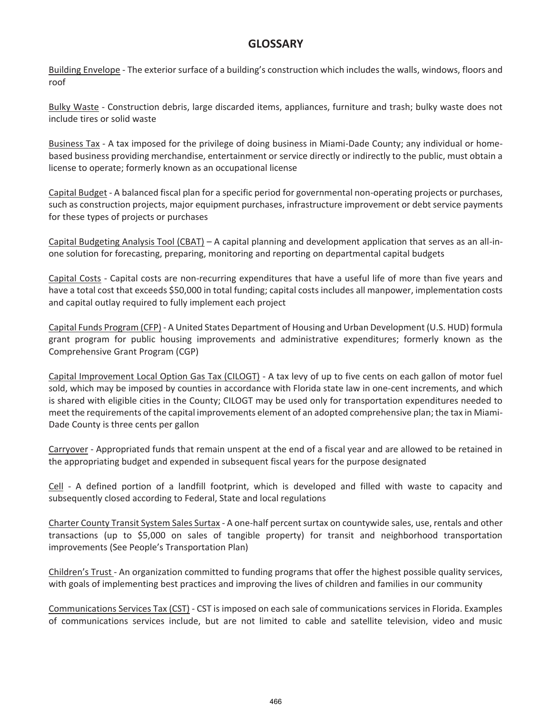Building Envelope - The exterior surface of a building's construction which includes the walls, windows, floors and roof

Bulky Waste - Construction debris, large discarded items, appliances, furniture and trash; bulky waste does not include tires or solid waste

Business Tax - A tax imposed for the privilege of doing business in Miami-Dade County; any individual or homebased business providing merchandise, entertainment or service directly or indirectly to the public, must obtain a license to operate; formerly known as an occupational license

Capital Budget - A balanced fiscal plan for a specific period for governmental non-operating projects or purchases, such as construction projects, major equipment purchases, infrastructure improvement or debt service payments for these types of projects or purchases

Capital Budgeting Analysis Tool (CBAT) – A capital planning and development application that serves as an all-inone solution for forecasting, preparing, monitoring and reporting on departmental capital budgets

Capital Costs - Capital costs are non-recurring expenditures that have a useful life of more than five years and have a total cost that exceeds \$50,000 in total funding; capital costs includes all manpower, implementation costs and capital outlay required to fully implement each project

Capital Funds Program (CFP) - A United States Department of Housing and Urban Development (U.S. HUD) formula grant program for public housing improvements and administrative expenditures; formerly known as the Comprehensive Grant Program (CGP)

Capital Improvement Local Option Gas Tax (CILOGT) - A tax levy of up to five cents on each gallon of motor fuel sold, which may be imposed by counties in accordance with Florida state law in one-cent increments, and which is shared with eligible cities in the County; CILOGT may be used only for transportation expenditures needed to meet the requirements of the capital improvements element of an adopted comprehensive plan; the tax in Miami-Dade County is three cents per gallon

Carryover - Appropriated funds that remain unspent at the end of a fiscal year and are allowed to be retained in the appropriating budget and expended in subsequent fiscal years for the purpose designated

Cell - A defined portion of a landfill footprint, which is developed and filled with waste to capacity and subsequently closed according to Federal, State and local regulations

Charter County Transit System Sales Surtax - A one-half percent surtax on countywide sales, use, rentals and other transactions (up to \$5,000 on sales of tangible property) for transit and neighborhood transportation improvements (See People's Transportation Plan)

Children's Trust - An organization committed to funding programs that offer the highest possible quality services, with goals of implementing best practices and improving the lives of children and families in our community

Communications Services Tax (CST) - CST is imposed on each sale of communications services in Florida. Examples of communications services include, but are not limited to cable and satellite television, video and music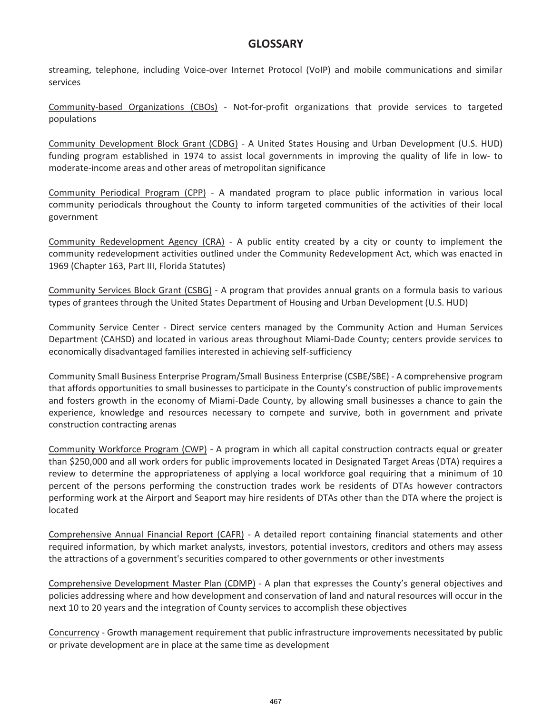streaming, telephone, including Voice-over Internet Protocol (VoIP) and mobile communications and similar services

Community-based Organizations (CBOs) - Not-for-profit organizations that provide services to targeted populations

Community Development Block Grant (CDBG) - A United States Housing and Urban Development (U.S. HUD) funding program established in 1974 to assist local governments in improving the quality of life in low- to moderate-income areas and other areas of metropolitan significance

Community Periodical Program (CPP) - A mandated program to place public information in various local community periodicals throughout the County to inform targeted communities of the activities of their local government

Community Redevelopment Agency (CRA) - A public entity created by a city or county to implement the community redevelopment activities outlined under the Community Redevelopment Act, which was enacted in 1969 (Chapter 163, Part III, Florida Statutes)

Community Services Block Grant (CSBG) - A program that provides annual grants on a formula basis to various types of grantees through the United States Department of Housing and Urban Development (U.S. HUD)

Community Service Center - Direct service centers managed by the Community Action and Human Services Department (CAHSD) and located in various areas throughout Miami-Dade County; centers provide services to economically disadvantaged families interested in achieving self-sufficiency

Community Small Business Enterprise Program/Small Business Enterprise (CSBE/SBE) - A comprehensive program that affords opportunities to small businesses to participate in the County's construction of public improvements and fosters growth in the economy of Miami-Dade County, by allowing small businesses a chance to gain the experience, knowledge and resources necessary to compete and survive, both in government and private construction contracting arenas

Community Workforce Program (CWP) - A program in which all capital construction contracts equal or greater than \$250,000 and all work orders for public improvements located in Designated Target Areas (DTA) requires a review to determine the appropriateness of applying a local workforce goal requiring that a minimum of 10 percent of the persons performing the construction trades work be residents of DTAs however contractors performing work at the Airport and Seaport may hire residents of DTAs other than the DTA where the project is located

Comprehensive Annual Financial Report (CAFR) - A detailed report containing financial statements and other required information, by which market analysts, investors, potential investors, creditors and others may assess the attractions of a government's securities compared to other governments or other investments

Comprehensive Development Master Plan (CDMP) - A plan that expresses the County's general objectives and policies addressing where and how development and conservation of land and natural resources will occur in the next 10 to 20 years and the integration of County services to accomplish these objectives

Concurrency - Growth management requirement that public infrastructure improvements necessitated by public or private development are in place at the same time as development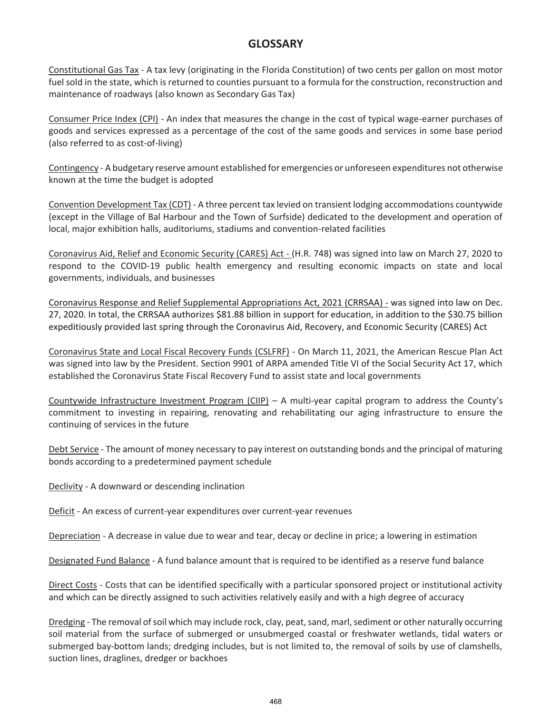Constitutional Gas Tax - A tax levy (originating in the Florida Constitution) of two cents per gallon on most motor fuel sold in the state, which is returned to counties pursuant to a formula for the construction, reconstruction and maintenance of roadways (also known as Secondary Gas Tax)

Consumer Price Index (CPI) - An index that measures the change in the cost of typical wage-earner purchases of goods and services expressed as a percentage of the cost of the same goods and services in some base period (also referred to as cost-of-living)

Contingency - A budgetary reserve amount established for emergencies or unforeseen expenditures not otherwise known at the time the budget is adopted

Convention Development Tax (CDT) - A three percent tax levied on transient lodging accommodations countywide (except in the Village of Bal Harbour and the Town of Surfside) dedicated to the development and operation of local, major exhibition halls, auditoriums, stadiums and convention-related facilities

Coronavirus Aid, Relief and Economic Security (CARES) Act - (H.R. 748) was signed into law on March 27, 2020 to respond to the COVID-19 public health emergency and resulting economic impacts on state and local governments, individuals, and businesses

Coronavirus Response and Relief Supplemental Appropriations Act, 2021 (CRRSAA) - was signed into law on Dec. 27, 2020. In total, the CRRSAA authorizes \$81.88 billion in support for education, in addition to the \$30.75 billion expeditiously provided last spring through the Coronavirus Aid, Recovery, and Economic Security (CARES) Act

Coronavirus State and Local Fiscal Recovery Funds (CSLFRF) - On March 11, 2021, the American Rescue Plan Act was signed into law by the President. Section 9901 of ARPA amended Title VI of the Social Security Act 17, which established the Coronavirus State Fiscal Recovery Fund to assist state and local governments

Countywide Infrastructure Investment Program (CIIP) – A multi-year capital program to address the County's commitment to investing in repairing, renovating and rehabilitating our aging infrastructure to ensure the continuing of services in the future

Debt Service - The amount of money necessary to pay interest on outstanding bonds and the principal of maturing bonds according to a predetermined payment schedule

Declivity - A downward or descending inclination

Deficit - An excess of current-year expenditures over current-year revenues

Depreciation - A decrease in value due to wear and tear, decay or decline in price; a lowering in estimation

Designated Fund Balance - A fund balance amount that is required to be identified as a reserve fund balance

Direct Costs - Costs that can be identified specifically with a particular sponsored project or institutional activity and which can be directly assigned to such activities relatively easily and with a high degree of accuracy

Dredging - The removal of soil which may include rock, clay, peat, sand, marl, sediment or other naturally occurring soil material from the surface of submerged or unsubmerged coastal or freshwater wetlands, tidal waters or submerged bay-bottom lands; dredging includes, but is not limited to, the removal of soils by use of clamshells, suction lines, draglines, dredger or backhoes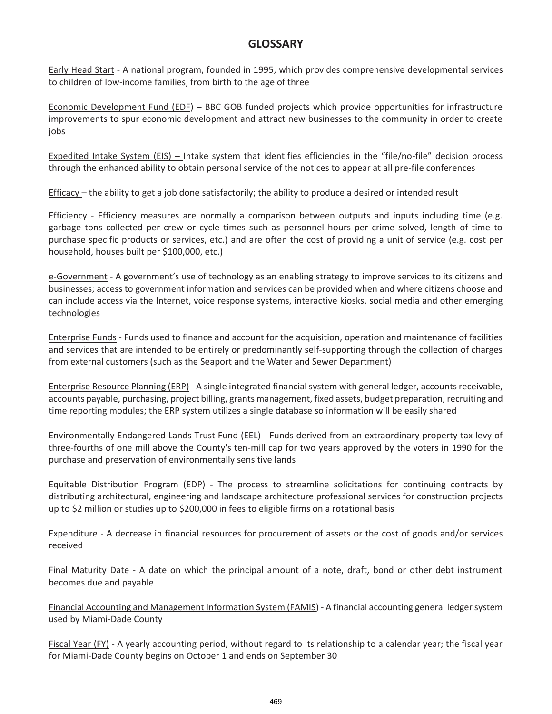Early Head Start - A national program, founded in 1995, which provides comprehensive developmental services to children of low-income families, from birth to the age of three

Economic Development Fund (EDF) – BBC GOB funded projects which provide opportunities for infrastructure improvements to spur economic development and attract new businesses to the community in order to create jobs

Expedited Intake System (EIS) – Intake system that identifies efficiencies in the "file/no-file" decision process through the enhanced ability to obtain personal service of the notices to appear at all pre-file conferences

Efficacy – the ability to get a job done satisfactorily; the ability to produce a desired or intended result

Efficiency - Efficiency measures are normally a comparison between outputs and inputs including time (e.g. garbage tons collected per crew or cycle times such as personnel hours per crime solved, length of time to purchase specific products or services, etc.) and are often the cost of providing a unit of service (e.g. cost per household, houses built per \$100,000, etc.)

e-Government - A government's use of technology as an enabling strategy to improve services to its citizens and businesses; access to government information and services can be provided when and where citizens choose and can include access via the Internet, voice response systems, interactive kiosks, social media and other emerging technologies

Enterprise Funds - Funds used to finance and account for the acquisition, operation and maintenance of facilities and services that are intended to be entirely or predominantly self-supporting through the collection of charges from external customers (such as the Seaport and the Water and Sewer Department)

Enterprise Resource Planning (ERP) - A single integrated financial system with general ledger, accounts receivable, accounts payable, purchasing, project billing, grants management, fixed assets, budget preparation, recruiting and time reporting modules; the ERP system utilizes a single database so information will be easily shared

Environmentally Endangered Lands Trust Fund (EEL) - Funds derived from an extraordinary property tax levy of three-fourths of one mill above the County's ten-mill cap for two years approved by the voters in 1990 for the purchase and preservation of environmentally sensitive lands

Equitable Distribution Program (EDP) - The process to streamline solicitations for continuing contracts by distributing architectural, engineering and landscape architecture professional services for construction projects up to \$2 million or studies up to \$200,000 in fees to eligible firms on a rotational basis

Expenditure - A decrease in financial resources for procurement of assets or the cost of goods and/or services received

Final Maturity Date - A date on which the principal amount of a note, draft, bond or other debt instrument becomes due and payable

Financial Accounting and Management Information System (FAMIS) - A financial accounting general ledger system used by Miami-Dade County

Fiscal Year (FY) - A yearly accounting period, without regard to its relationship to a calendar year; the fiscal year for Miami-Dade County begins on October 1 and ends on September 30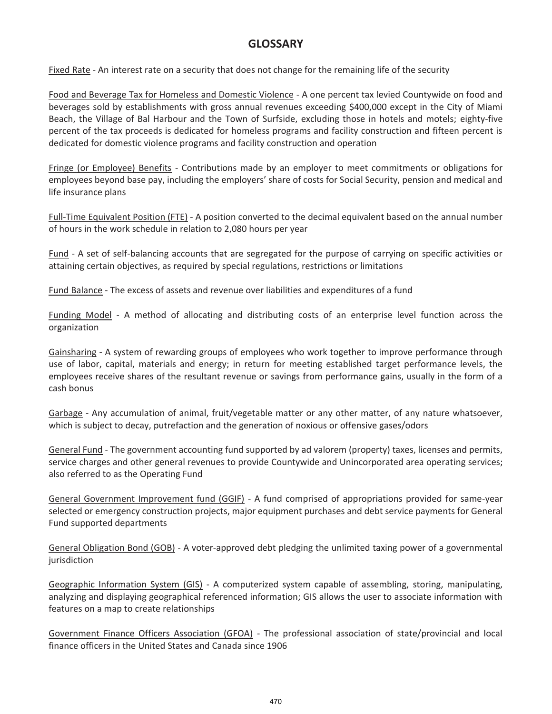Fixed Rate - An interest rate on a security that does not change for the remaining life of the security

Food and Beverage Tax for Homeless and Domestic Violence - A one percent tax levied Countywide on food and beverages sold by establishments with gross annual revenues exceeding \$400,000 except in the City of Miami Beach, the Village of Bal Harbour and the Town of Surfside, excluding those in hotels and motels; eighty-five percent of the tax proceeds is dedicated for homeless programs and facility construction and fifteen percent is dedicated for domestic violence programs and facility construction and operation

Fringe (or Employee) Benefits - Contributions made by an employer to meet commitments or obligations for employees beyond base pay, including the employers' share of costs for Social Security, pension and medical and life insurance plans

Full-Time Equivalent Position (FTE) - A position converted to the decimal equivalent based on the annual number of hours in the work schedule in relation to 2,080 hours per year

Fund - A set of self-balancing accounts that are segregated for the purpose of carrying on specific activities or attaining certain objectives, as required by special regulations, restrictions or limitations

Fund Balance - The excess of assets and revenue over liabilities and expenditures of a fund

Funding Model - A method of allocating and distributing costs of an enterprise level function across the organization

Gainsharing - A system of rewarding groups of employees who work together to improve performance through use of labor, capital, materials and energy; in return for meeting established target performance levels, the employees receive shares of the resultant revenue or savings from performance gains, usually in the form of a cash bonus

Garbage - Any accumulation of animal, fruit/vegetable matter or any other matter, of any nature whatsoever, which is subject to decay, putrefaction and the generation of noxious or offensive gases/odors

General Fund - The government accounting fund supported by ad valorem (property) taxes, licenses and permits, service charges and other general revenues to provide Countywide and Unincorporated area operating services; also referred to as the Operating Fund

General Government Improvement fund (GGIF) - A fund comprised of appropriations provided for same-year selected or emergency construction projects, major equipment purchases and debt service payments for General Fund supported departments

General Obligation Bond (GOB) - A voter-approved debt pledging the unlimited taxing power of a governmental jurisdiction

Geographic Information System (GIS) - A computerized system capable of assembling, storing, manipulating, analyzing and displaying geographical referenced information; GIS allows the user to associate information with features on a map to create relationships

Government Finance Officers Association (GFOA) - The professional association of state/provincial and local finance officers in the United States and Canada since 1906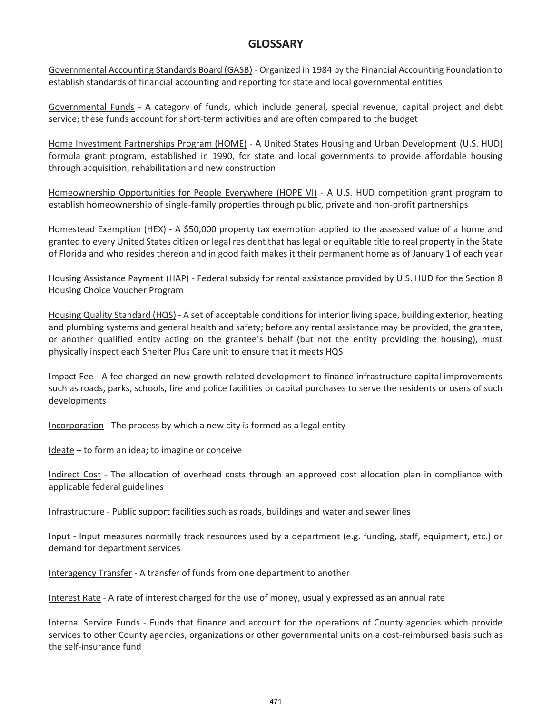Governmental Accounting Standards Board (GASB) - Organized in 1984 by the Financial Accounting Foundation to establish standards of financial accounting and reporting for state and local governmental entities

Governmental Funds - A category of funds, which include general, special revenue, capital project and debt service; these funds account for short-term activities and are often compared to the budget

Home Investment Partnerships Program (HOME) - A United States Housing and Urban Development (U.S. HUD) formula grant program, established in 1990, for state and local governments to provide affordable housing through acquisition, rehabilitation and new construction

Homeownership Opportunities for People Everywhere (HOPE VI) - A U.S. HUD competition grant program to establish homeownership of single-family properties through public, private and non-profit partnerships

Homestead Exemption (HEX) - A \$50,000 property tax exemption applied to the assessed value of a home and granted to every United States citizen or legal resident that has legal or equitable title to real property in the State of Florida and who resides thereon and in good faith makes it their permanent home as of January 1 of each year

Housing Assistance Payment (HAP) - Federal subsidy for rental assistance provided by U.S. HUD for the Section 8 Housing Choice Voucher Program

Housing Quality Standard (HQS) - A set of acceptable conditions for interior living space, building exterior, heating and plumbing systems and general health and safety; before any rental assistance may be provided, the grantee, or another qualified entity acting on the grantee's behalf (but not the entity providing the housing), must physically inspect each Shelter Plus Care unit to ensure that it meets HQS

Impact Fee - A fee charged on new growth-related development to finance infrastructure capital improvements such as roads, parks, schools, fire and police facilities or capital purchases to serve the residents or users of such developments

Incorporation - The process by which a new city is formed as a legal entity

Ideate – to form an idea; to imagine or conceive

Indirect Cost - The allocation of overhead costs through an approved cost allocation plan in compliance with applicable federal guidelines

Infrastructure - Public support facilities such as roads, buildings and water and sewer lines

Input - Input measures normally track resources used by a department (e.g. funding, staff, equipment, etc.) or demand for department services

Interagency Transfer - A transfer of funds from one department to another

Interest Rate - A rate of interest charged for the use of money, usually expressed as an annual rate

Internal Service Funds - Funds that finance and account for the operations of County agencies which provide services to other County agencies, organizations or other governmental units on a cost-reimbursed basis such as the self-insurance fund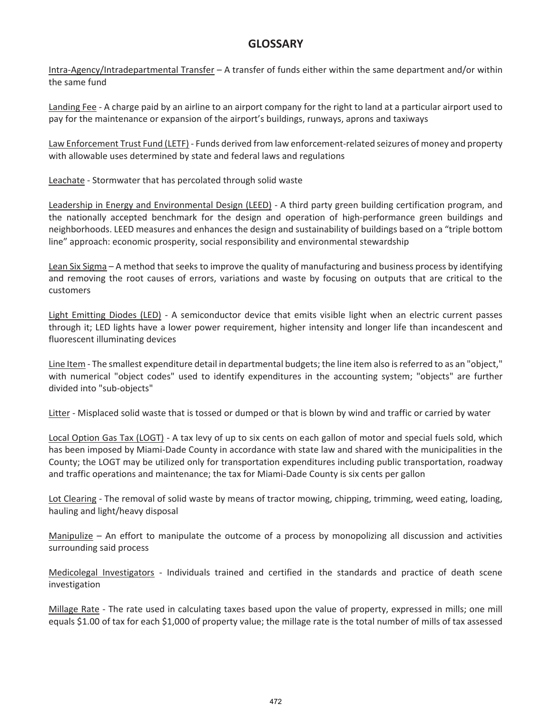Intra-Agency/Intradepartmental Transfer – A transfer of funds either within the same department and/or within the same fund

Landing Fee - A charge paid by an airline to an airport company for the right to land at a particular airport used to pay for the maintenance or expansion of the airport's buildings, runways, aprons and taxiways

Law Enforcement Trust Fund (LETF) - Funds derived from law enforcement-related seizures of money and property with allowable uses determined by state and federal laws and regulations

Leachate - Stormwater that has percolated through solid waste

Leadership in Energy and Environmental Design (LEED) - A third party green building certification program, and the nationally accepted benchmark for the design and operation of high-performance green buildings and neighborhoods. LEED measures and enhances the design and sustainability of buildings based on a "triple bottom line" approach: economic prosperity, social responsibility and environmental stewardship

Lean Six Sigma - A method that seeks to improve the quality of manufacturing and business process by identifying and removing the root causes of errors, variations and waste by focusing on outputs that are critical to the customers

Light Emitting Diodes (LED) - A semiconductor device that emits visible light when an electric current passes through it; LED lights have a lower power requirement, higher intensity and longer life than incandescent and fluorescent illuminating devices

Line Item - The smallest expenditure detail in departmental budgets; the line item also is referred to as an "object," with numerical "object codes" used to identify expenditures in the accounting system; "objects" are further divided into "sub-objects"

Litter - Misplaced solid waste that is tossed or dumped or that is blown by wind and traffic or carried by water

Local Option Gas Tax (LOGT) - A tax levy of up to six cents on each gallon of motor and special fuels sold, which has been imposed by Miami-Dade County in accordance with state law and shared with the municipalities in the County; the LOGT may be utilized only for transportation expenditures including public transportation, roadway and traffic operations and maintenance; the tax for Miami-Dade County is six cents per gallon

Lot Clearing - The removal of solid waste by means of tractor mowing, chipping, trimming, weed eating, loading, hauling and light/heavy disposal

Manipulize – An effort to manipulate the outcome of a process by monopolizing all discussion and activities surrounding said process

Medicolegal Investigators - Individuals trained and certified in the standards and practice of death scene investigation

Millage Rate - The rate used in calculating taxes based upon the value of property, expressed in mills; one mill equals \$1.00 of tax for each \$1,000 of property value; the millage rate is the total number of mills of tax assessed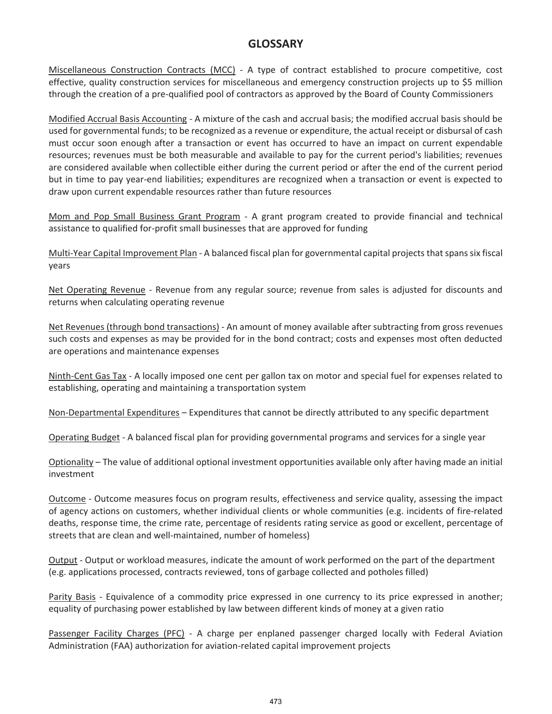Miscellaneous Construction Contracts (MCC) - A type of contract established to procure competitive, cost effective, quality construction services for miscellaneous and emergency construction projects up to \$5 million through the creation of a pre-qualified pool of contractors as approved by the Board of County Commissioners

Modified Accrual Basis Accounting - A mixture of the cash and accrual basis; the modified accrual basis should be used for governmental funds; to be recognized as a revenue or expenditure, the actual receipt or disbursal of cash must occur soon enough after a transaction or event has occurred to have an impact on current expendable resources; revenues must be both measurable and available to pay for the current period's liabilities; revenues are considered available when collectible either during the current period or after the end of the current period but in time to pay year-end liabilities; expenditures are recognized when a transaction or event is expected to draw upon current expendable resources rather than future resources

Mom and Pop Small Business Grant Program - A grant program created to provide financial and technical assistance to qualified for-profit small businesses that are approved for funding

Multi-Year Capital Improvement Plan - A balanced fiscal plan for governmental capital projects that spans six fiscal years

Net Operating Revenue - Revenue from any regular source; revenue from sales is adjusted for discounts and returns when calculating operating revenue

Net Revenues (through bond transactions) - An amount of money available after subtracting from gross revenues such costs and expenses as may be provided for in the bond contract; costs and expenses most often deducted are operations and maintenance expenses

Ninth-Cent Gas Tax - A locally imposed one cent per gallon tax on motor and special fuel for expenses related to establishing, operating and maintaining a transportation system

Non-Departmental Expenditures – Expenditures that cannot be directly attributed to any specific department

Operating Budget - A balanced fiscal plan for providing governmental programs and services for a single year

Optionality – The value of additional optional investment opportunities available only after having made an initial investment

Outcome - Outcome measures focus on program results, effectiveness and service quality, assessing the impact of agency actions on customers, whether individual clients or whole communities (e.g. incidents of fire-related deaths, response time, the crime rate, percentage of residents rating service as good or excellent, percentage of streets that are clean and well-maintained, number of homeless)

Output - Output or workload measures, indicate the amount of work performed on the part of the department (e.g. applications processed, contracts reviewed, tons of garbage collected and potholes filled)

Parity Basis - Equivalence of a commodity price expressed in one currency to its price expressed in another; equality of purchasing power established by law between different kinds of money at a given ratio

Passenger Facility Charges (PFC) - A charge per enplaned passenger charged locally with Federal Aviation Administration (FAA) authorization for aviation-related capital improvement projects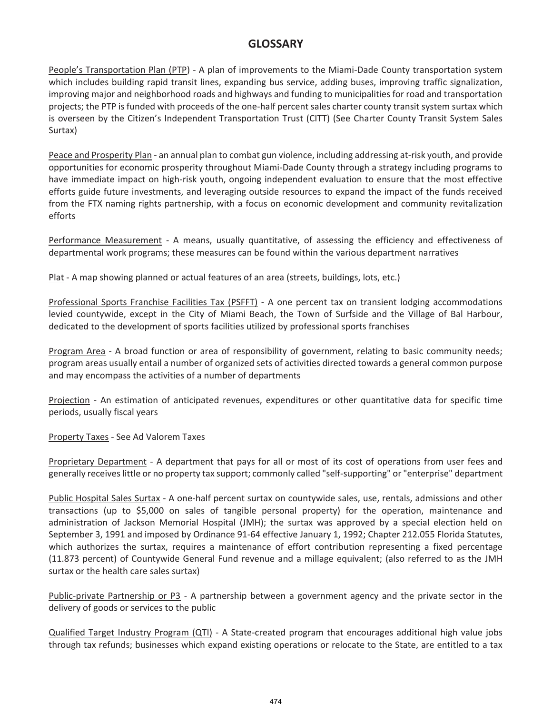People's Transportation Plan (PTP) - A plan of improvements to the Miami-Dade County transportation system which includes building rapid transit lines, expanding bus service, adding buses, improving traffic signalization, improving major and neighborhood roads and highways and funding to municipalities for road and transportation projects; the PTP is funded with proceeds of the one-half percent sales charter county transit system surtax which is overseen by the Citizen's Independent Transportation Trust (CITT) (See Charter County Transit System Sales Surtax)

Peace and Prosperity Plan - an annual plan to combat gun violence, including addressing at-risk youth, and provide opportunities for economic prosperity throughout Miami-Dade County through a strategy including programs to have immediate impact on high-risk youth, ongoing independent evaluation to ensure that the most effective efforts guide future investments, and leveraging outside resources to expand the impact of the funds received from the FTX naming rights partnership, with a focus on economic development and community revitalization efforts

Performance Measurement - A means, usually quantitative, of assessing the efficiency and effectiveness of departmental work programs; these measures can be found within the various department narratives

Plat - A map showing planned or actual features of an area (streets, buildings, lots, etc.)

Professional Sports Franchise Facilities Tax (PSFFT) - A one percent tax on transient lodging accommodations levied countywide, except in the City of Miami Beach, the Town of Surfside and the Village of Bal Harbour, dedicated to the development of sports facilities utilized by professional sports franchises

Program Area - A broad function or area of responsibility of government, relating to basic community needs; program areas usually entail a number of organized sets of activities directed towards a general common purpose and may encompass the activities of a number of departments

Projection - An estimation of anticipated revenues, expenditures or other quantitative data for specific time periods, usually fiscal years

Property Taxes - See Ad Valorem Taxes

Proprietary Department - A department that pays for all or most of its cost of operations from user fees and generally receives little or no property tax support; commonly called "self-supporting" or "enterprise" department

Public Hospital Sales Surtax - A one-half percent surtax on countywide sales, use, rentals, admissions and other transactions (up to \$5,000 on sales of tangible personal property) for the operation, maintenance and administration of Jackson Memorial Hospital (JMH); the surtax was approved by a special election held on September 3, 1991 and imposed by Ordinance 91-64 effective January 1, 1992; Chapter 212.055 Florida Statutes, which authorizes the surtax, requires a maintenance of effort contribution representing a fixed percentage (11.873 percent) of Countywide General Fund revenue and a millage equivalent; (also referred to as the JMH surtax or the health care sales surtax)

Public-private Partnership or P3 - A partnership between a government agency and the private sector in the delivery of goods or services to the public

Qualified Target Industry Program (QTI) - A State-created program that encourages additional high value jobs through tax refunds; businesses which expand existing operations or relocate to the State, are entitled to a tax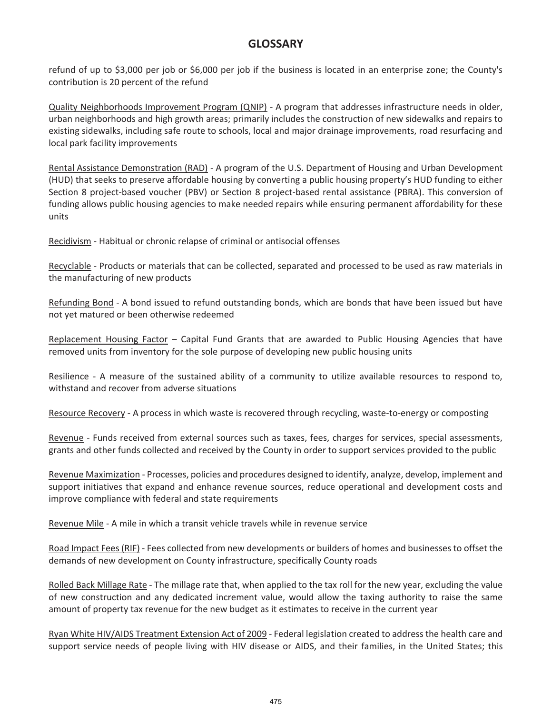refund of up to \$3,000 per job or \$6,000 per job if the business is located in an enterprise zone; the County's contribution is 20 percent of the refund

Quality Neighborhoods Improvement Program (QNIP) - A program that addresses infrastructure needs in older, urban neighborhoods and high growth areas; primarily includes the construction of new sidewalks and repairs to existing sidewalks, including safe route to schools, local and major drainage improvements, road resurfacing and local park facility improvements

Rental Assistance Demonstration (RAD) - A program of the U.S. Department of Housing and Urban Development (HUD) that seeks to preserve affordable housing by converting a public housing property's HUD funding to either Section 8 project-based voucher (PBV) or Section 8 project-based rental assistance (PBRA). This conversion of funding allows public housing agencies to make needed repairs while ensuring permanent affordability for these units

Recidivism - Habitual or chronic relapse of criminal or antisocial offenses

Recyclable - Products or materials that can be collected, separated and processed to be used as raw materials in the manufacturing of new products

Refunding Bond - A bond issued to refund outstanding bonds, which are bonds that have been issued but have not yet matured or been otherwise redeemed

Replacement Housing Factor – Capital Fund Grants that are awarded to Public Housing Agencies that have removed units from inventory for the sole purpose of developing new public housing units

Resilience - A measure of the sustained ability of a community to utilize available resources to respond to, withstand and recover from adverse situations

Resource Recovery - A process in which waste is recovered through recycling, waste-to-energy or composting

Revenue - Funds received from external sources such as taxes, fees, charges for services, special assessments, grants and other funds collected and received by the County in order to support services provided to the public

Revenue Maximization - Processes, policies and procedures designed to identify, analyze, develop, implement and support initiatives that expand and enhance revenue sources, reduce operational and development costs and improve compliance with federal and state requirements

Revenue Mile - A mile in which a transit vehicle travels while in revenue service

Road Impact Fees (RIF) - Fees collected from new developments or builders of homes and businesses to offset the demands of new development on County infrastructure, specifically County roads

Rolled Back Millage Rate - The millage rate that, when applied to the tax roll for the new year, excluding the value of new construction and any dedicated increment value, would allow the taxing authority to raise the same amount of property tax revenue for the new budget as it estimates to receive in the current year

Ryan White HIV/AIDS Treatment Extension Act of 2009 - Federal legislation created to address the health care and support service needs of people living with HIV disease or AIDS, and their families, in the United States; this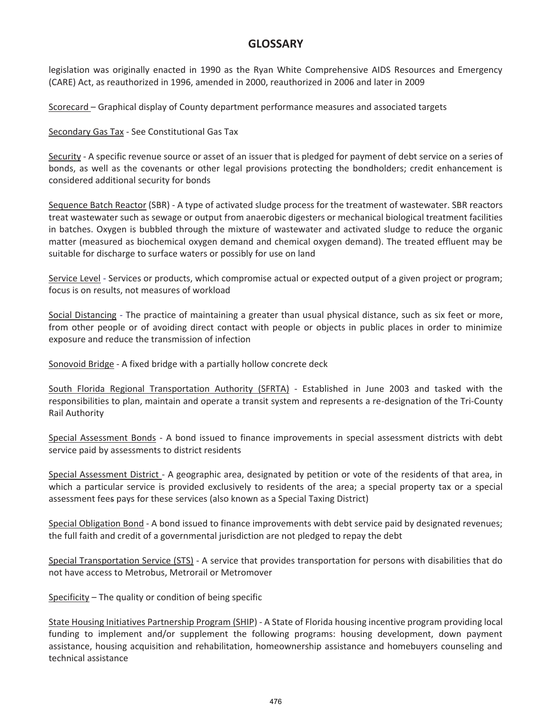legislation was originally enacted in 1990 as the Ryan White Comprehensive AIDS Resources and Emergency (CARE) Act, as reauthorized in 1996, amended in 2000, reauthorized in 2006 and later in 2009

Scorecard – Graphical display of County department performance measures and associated targets

Secondary Gas Tax - See Constitutional Gas Tax

Security - A specific revenue source or asset of an issuer that is pledged for payment of debt service on a series of bonds, as well as the covenants or other legal provisions protecting the bondholders; credit enhancement is considered additional security for bonds

Sequence Batch Reactor (SBR) - A type of activated sludge process for the treatment of wastewater. SBR reactors treat wastewater such as sewage or output from anaerobic digesters or mechanical biological treatment facilities in batches. Oxygen is bubbled through the mixture of wastewater and activated sludge to reduce the organic matter (measured as biochemical oxygen demand and chemical oxygen demand). The treated effluent may be suitable for discharge to surface waters or possibly for use on land

Service Level - Services or products, which compromise actual or expected output of a given project or program; focus is on results, not measures of workload

Social Distancing - The practice of maintaining a greater than usual physical distance, such as six feet or more, from other people or of avoiding direct contact with people or objects in public places in order to minimize exposure and reduce the transmission of infection

Sonovoid Bridge - A fixed bridge with a partially hollow concrete deck

South Florida Regional Transportation Authority (SFRTA) - Established in June 2003 and tasked with the responsibilities to plan, maintain and operate a transit system and represents a re-designation of the Tri-County Rail Authority

Special Assessment Bonds - A bond issued to finance improvements in special assessment districts with debt service paid by assessments to district residents

Special Assessment District - A geographic area, designated by petition or vote of the residents of that area, in which a particular service is provided exclusively to residents of the area; a special property tax or a special assessment fees pays for these services (also known as a Special Taxing District)

Special Obligation Bond - A bond issued to finance improvements with debt service paid by designated revenues; the full faith and credit of a governmental jurisdiction are not pledged to repay the debt

Special Transportation Service (STS) - A service that provides transportation for persons with disabilities that do not have access to Metrobus, Metrorail or Metromover

Specificity – The quality or condition of being specific

State Housing Initiatives Partnership Program (SHIP) - A State of Florida housing incentive program providing local funding to implement and/or supplement the following programs: housing development, down payment assistance, housing acquisition and rehabilitation, homeownership assistance and homebuyers counseling and technical assistance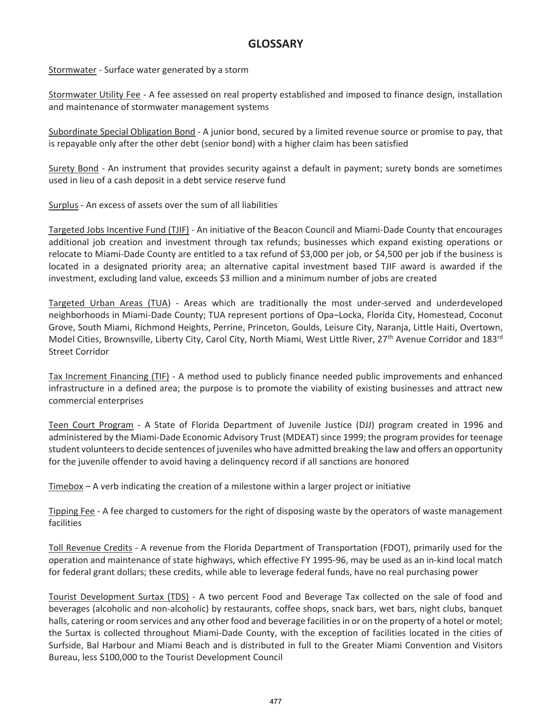Stormwater - Surface water generated by a storm

Stormwater Utility Fee - A fee assessed on real property established and imposed to finance design, installation and maintenance of stormwater management systems

Subordinate Special Obligation Bond - A junior bond, secured by a limited revenue source or promise to pay, that is repayable only after the other debt (senior bond) with a higher claim has been satisfied

Surety Bond - An instrument that provides security against a default in payment; surety bonds are sometimes used in lieu of a cash deposit in a debt service reserve fund

Surplus - An excess of assets over the sum of all liabilities

Targeted Jobs Incentive Fund (TJIF) - An initiative of the Beacon Council and Miami-Dade County that encourages additional job creation and investment through tax refunds; businesses which expand existing operations or relocate to Miami-Dade County are entitled to a tax refund of \$3,000 per job, or \$4,500 per job if the business is located in a designated priority area; an alternative capital investment based TJIF award is awarded if the investment, excluding land value, exceeds \$3 million and a minimum number of jobs are created

Targeted Urban Areas (TUA) - Areas which are traditionally the most under-served and underdeveloped neighborhoods in Miami-Dade County; TUA represent portions of Opa–Locka, Florida City, Homestead, Coconut Grove, South Miami, Richmond Heights, Perrine, Princeton, Goulds, Leisure City, Naranja, Little Haiti, Overtown, Model Cities, Brownsville, Liberty City, Carol City, North Miami, West Little River, 27<sup>th</sup> Avenue Corridor and 183<sup>rd</sup> Street Corridor

Tax Increment Financing (TIF) - A method used to publicly finance needed public improvements and enhanced infrastructure in a defined area; the purpose is to promote the viability of existing businesses and attract new commercial enterprises

Teen Court Program - A State of Florida Department of Juvenile Justice (DJJ) program created in 1996 and administered by the Miami-Dade Economic Advisory Trust (MDEAT) since 1999; the program provides for teenage student volunteers to decide sentences of juveniles who have admitted breaking the law and offers an opportunity for the juvenile offender to avoid having a delinquency record if all sanctions are honored

Timebox – A verb indicating the creation of a milestone within a larger project or initiative

Tipping Fee - A fee charged to customers for the right of disposing waste by the operators of waste management facilities

Toll Revenue Credits - A revenue from the Florida Department of Transportation (FDOT), primarily used for the operation and maintenance of state highways, which effective FY 1995-96, may be used as an in-kind local match for federal grant dollars; these credits, while able to leverage federal funds, have no real purchasing power

Tourist Development Surtax (TDS) - A two percent Food and Beverage Tax collected on the sale of food and beverages (alcoholic and non-alcoholic) by restaurants, coffee shops, snack bars, wet bars, night clubs, banquet halls, catering or room services and any other food and beverage facilities in or on the property of a hotel or motel; the Surtax is collected throughout Miami-Dade County, with the exception of facilities located in the cities of Surfside, Bal Harbour and Miami Beach and is distributed in full to the Greater Miami Convention and Visitors Bureau, less \$100,000 to the Tourist Development Council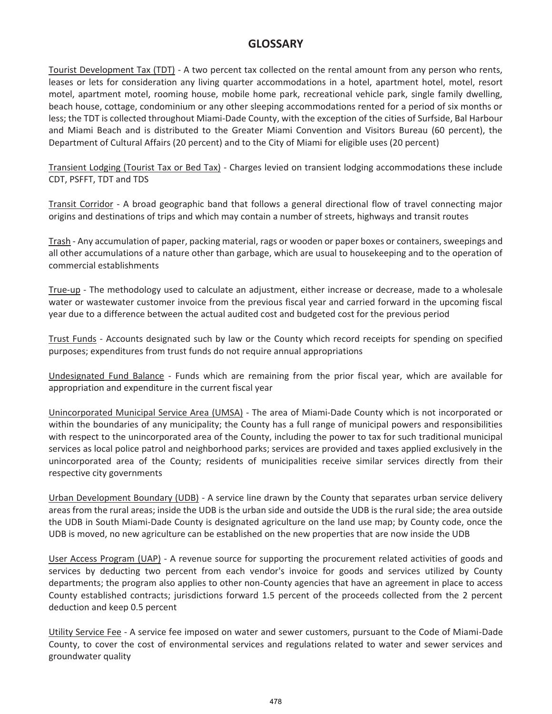Tourist Development Tax (TDT) - A two percent tax collected on the rental amount from any person who rents, leases or lets for consideration any living quarter accommodations in a hotel, apartment hotel, motel, resort motel, apartment motel, rooming house, mobile home park, recreational vehicle park, single family dwelling, beach house, cottage, condominium or any other sleeping accommodations rented for a period of six months or less; the TDT is collected throughout Miami-Dade County, with the exception of the cities of Surfside, Bal Harbour and Miami Beach and is distributed to the Greater Miami Convention and Visitors Bureau (60 percent), the Department of Cultural Affairs (20 percent) and to the City of Miami for eligible uses (20 percent)

Transient Lodging (Tourist Tax or Bed Tax) - Charges levied on transient lodging accommodations these include CDT, PSFFT, TDT and TDS

Transit Corridor - A broad geographic band that follows a general directional flow of travel connecting major origins and destinations of trips and which may contain a number of streets, highways and transit routes

Trash - Any accumulation of paper, packing material, rags or wooden or paper boxes or containers, sweepings and all other accumulations of a nature other than garbage, which are usual to housekeeping and to the operation of commercial establishments

True-up - The methodology used to calculate an adjustment, either increase or decrease, made to a wholesale water or wastewater customer invoice from the previous fiscal year and carried forward in the upcoming fiscal year due to a difference between the actual audited cost and budgeted cost for the previous period

Trust Funds - Accounts designated such by law or the County which record receipts for spending on specified purposes; expenditures from trust funds do not require annual appropriations

Undesignated Fund Balance - Funds which are remaining from the prior fiscal year, which are available for appropriation and expenditure in the current fiscal year

Unincorporated Municipal Service Area (UMSA) - The area of Miami-Dade County which is not incorporated or within the boundaries of any municipality; the County has a full range of municipal powers and responsibilities with respect to the unincorporated area of the County, including the power to tax for such traditional municipal services as local police patrol and neighborhood parks; services are provided and taxes applied exclusively in the unincorporated area of the County; residents of municipalities receive similar services directly from their respective city governments

Urban Development Boundary (UDB) - A service line drawn by the County that separates urban service delivery areas from the rural areas; inside the UDB is the urban side and outside the UDB is the rural side; the area outside the UDB in South Miami-Dade County is designated agriculture on the land use map; by County code, once the UDB is moved, no new agriculture can be established on the new properties that are now inside the UDB

User Access Program (UAP) - A revenue source for supporting the procurement related activities of goods and services by deducting two percent from each vendor's invoice for goods and services utilized by County departments; the program also applies to other non-County agencies that have an agreement in place to access County established contracts; jurisdictions forward 1.5 percent of the proceeds collected from the 2 percent deduction and keep 0.5 percent

Utility Service Fee - A service fee imposed on water and sewer customers, pursuant to the Code of Miami-Dade County, to cover the cost of environmental services and regulations related to water and sewer services and groundwater quality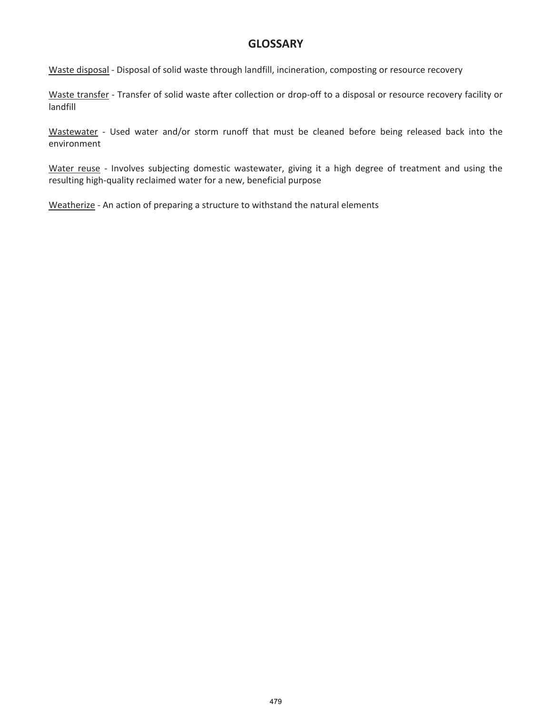Waste disposal - Disposal of solid waste through landfill, incineration, composting or resource recovery

Waste transfer - Transfer of solid waste after collection or drop-off to a disposal or resource recovery facility or landfill

Wastewater - Used water and/or storm runoff that must be cleaned before being released back into the environment

Water reuse - Involves subjecting domestic wastewater, giving it a high degree of treatment and using the resulting high-quality reclaimed water for a new, beneficial purpose

Weatherize - An action of preparing a structure to withstand the natural elements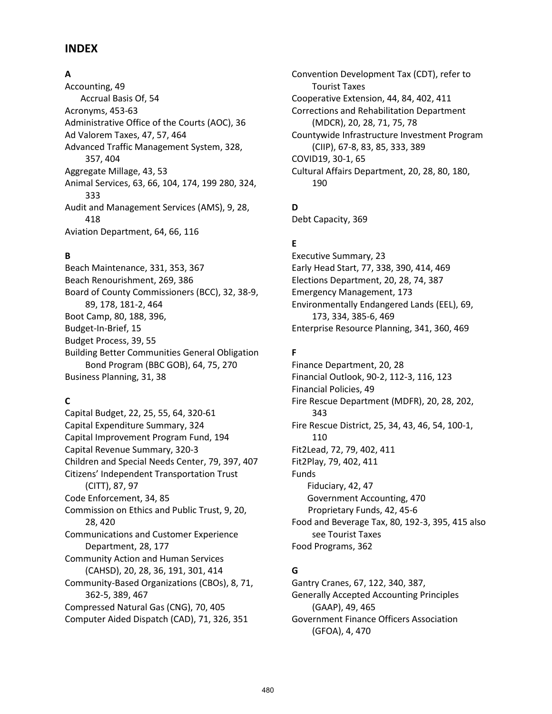## **INDEX**

## **A**

Accounting, 49 Accrual Basis Of, 54 Acronyms, 453-63 Administrative Office of the Courts (AOC), 36 Ad Valorem Taxes, 47, 57, 464 Advanced Traffic Management System, 328, 357, 404 Aggregate Millage, 43, 53 Animal Services, 63, 66, 104, 174, 199 280, 324, 333 Audit and Management Services (AMS), 9, 28, 418 Aviation Department, 64, 66, 116

## **B**

Beach Maintenance, 331, 353, 367 Beach Renourishment, 269, 386 Board of County Commissioners (BCC), 32, 38-9, 89, 178, 181-2, 464 Boot Camp, 80, 188, 396, Budget-In-Brief, 15 Budget Process, 39, 55 Building Better Communities General Obligation Bond Program (BBC GOB), 64, 75, 270 Business Planning, 31, 38

## **C**

Capital Budget, 22, 25, 55, 64, 320-61 Capital Expenditure Summary, 324 Capital Improvement Program Fund, 194 Capital Revenue Summary, 320-3 Children and Special Needs Center, 79, 397, 407 Citizens' Independent Transportation Trust (CITT), 87, 97 Code Enforcement, 34, 85 Commission on Ethics and Public Trust, 9, 20, 28, 420 Communications and Customer Experience Department, 28, 177 Community Action and Human Services (CAHSD), 20, 28, 36, 191, 301, 414 Community-Based Organizations (CBOs), 8, 71, 362-5, 389, 467 Compressed Natural Gas (CNG), 70, 405 Computer Aided Dispatch (CAD), 71, 326, 351

Convention Development Tax (CDT), refer to Tourist Taxes Cooperative Extension, 44, 84, 402, 411 Corrections and Rehabilitation Department (MDCR), 20, 28, 71, 75, 78 Countywide Infrastructure Investment Program (CIIP), 67-8, 83, 85, 333, 389 COVID19, 30-1, 65 Cultural Affairs Department, 20, 28, 80, 180, 190

**D**

Debt Capacity, 369

## **E**

Executive Summary, 23 Early Head Start, 77, 338, 390, 414, 469 Elections Department, 20, 28, 74, 387 Emergency Management, 173 Environmentally Endangered Lands (EEL), 69, 173, 334, 385-6, 469 Enterprise Resource Planning, 341, 360, 469

## **F**

Finance Department, 20, 28 Financial Outlook, 90-2, 112-3, 116, 123 Financial Policies, 49 Fire Rescue Department (MDFR), 20, 28, 202, 343 Fire Rescue District, 25, 34, 43, 46, 54, 100-1, 110 Fit2Lead, 72, 79, 402, 411 Fit2Play, 79, 402, 411 Funds Fiduciary, 42, 47 Government Accounting, 470 Proprietary Funds, 42, 45-6 Food and Beverage Tax, 80, 192-3, 395, 415 also see Tourist Taxes Food Programs, 362

## **G**

Gantry Cranes, 67, 122, 340, 387, Generally Accepted Accounting Principles (GAAP), 49, 465 Government Finance Officers Association (GFOA), 4, 470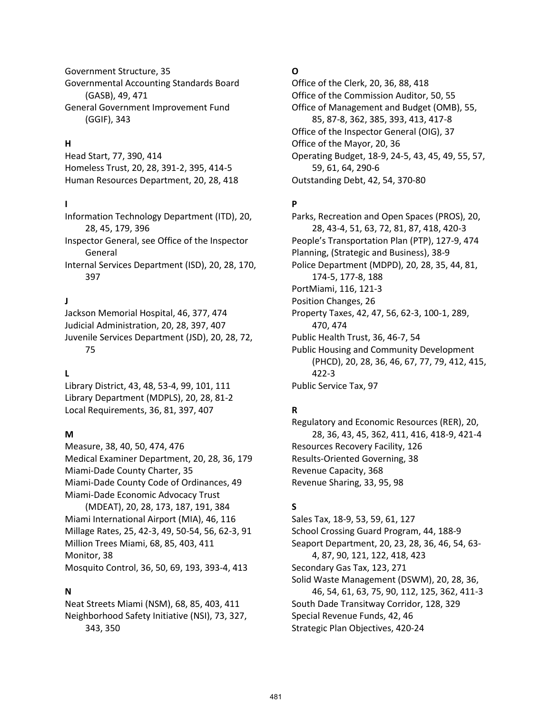Government Structure, 35 Governmental Accounting Standards Board (GASB), 49, 471 General Government Improvement Fund (GGIF), 343

## **H**

Head Start, 77, 390, 414 Homeless Trust, 20, 28, 391-2, 395, 414-5 Human Resources Department, 20, 28, 418

#### **I**

Information Technology Department (ITD), 20, 28, 45, 179, 396 Inspector General, see Office of the Inspector General Internal Services Department (ISD), 20, 28, 170, 397

#### **J**

Jackson Memorial Hospital, 46, 377, 474 Judicial Administration, 20, 28, 397, 407 Juvenile Services Department (JSD), 20, 28, 72, 75

#### **L**

Library District, 43, 48, 53-4, 99, 101, 111 Library Department (MDPLS), 20, 28, 81-2 Local Requirements, 36, 81, 397, 407

#### **M**

Measure, 38, 40, 50, 474, 476 Medical Examiner Department, 20, 28, 36, 179 Miami-Dade County Charter, 35 Miami-Dade County Code of Ordinances, 49 Miami-Dade Economic Advocacy Trust (MDEAT), 20, 28, 173, 187, 191, 384 Miami International Airport (MIA), 46, 116 Millage Rates, 25, 42-3, 49, 50-54, 56, 62-3, 91 Million Trees Miami, 68, 85, 403, 411 Monitor, 38 Mosquito Control, 36, 50, 69, 193, 393-4, 413

#### **N**

Neat Streets Miami (NSM), 68, 85, 403, 411 Neighborhood Safety Initiative (NSI), 73, 327, 343, 350

## **O**

Office of the Clerk, 20, 36, 88, 418 Office of the Commission Auditor, 50, 55 Office of Management and Budget (OMB), 55, 85, 87-8, 362, 385, 393, 413, 417-8 Office of the Inspector General (OIG), 37 Office of the Mayor, 20, 36 Operating Budget, 18-9, 24-5, 43, 45, 49, 55, 57, 59, 61, 64, 290-6 Outstanding Debt, 42, 54, 370-80

## **P**

Parks, Recreation and Open Spaces (PROS), 20, 28, 43-4, 51, 63, 72, 81, 87, 418, 420-3 People's Transportation Plan (PTP), 127-9, 474 Planning, (Strategic and Business), 38-9 Police Department (MDPD), 20, 28, 35, 44, 81, 174-5, 177-8, 188 PortMiami, 116, 121-3 Position Changes, 26 Property Taxes, 42, 47, 56, 62-3, 100-1, 289, 470, 474 Public Health Trust, 36, 46-7, 54 Public Housing and Community Development (PHCD), 20, 28, 36, 46, 67, 77, 79, 412, 415, 422-3 Public Service Tax, 97

#### **R**

Regulatory and Economic Resources (RER), 20, 28, 36, 43, 45, 362, 411, 416, 418-9, 421-4 Resources Recovery Facility, 126 Results-Oriented Governing, 38 Revenue Capacity, 368 Revenue Sharing, 33, 95, 98

## **S**

Sales Tax, 18-9, 53, 59, 61, 127 School Crossing Guard Program, 44, 188-9 Seaport Department, 20, 23, 28, 36, 46, 54, 63- 4, 87, 90, 121, 122, 418, 423 Secondary Gas Tax, 123, 271 Solid Waste Management (DSWM), 20, 28, 36, 46, 54, 61, 63, 75, 90, 112, 125, 362, 411-3 South Dade Transitway Corridor, 128, 329 Special Revenue Funds, 42, 46 Strategic Plan Objectives, 420-24